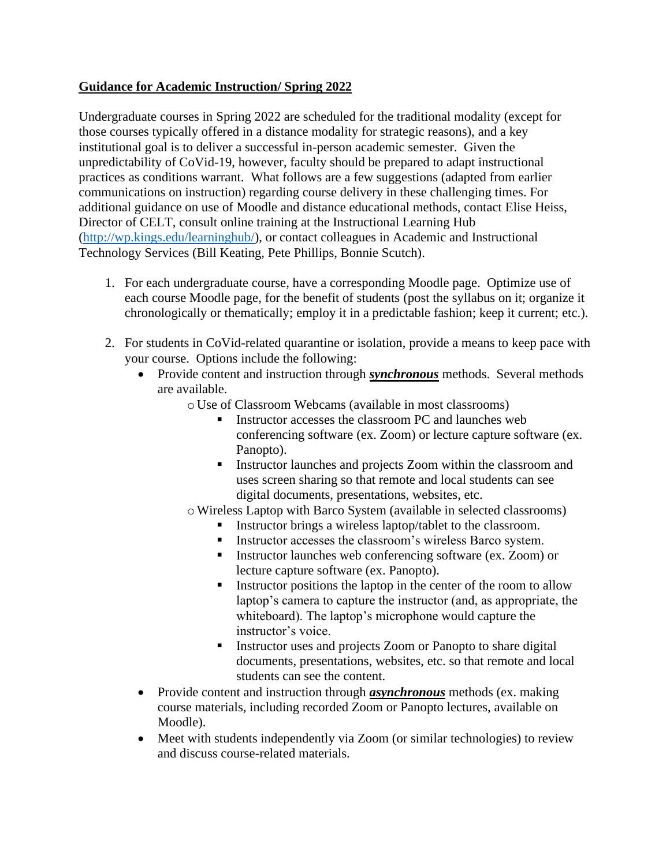## **Guidance for Academic Instruction/ Spring 2022**

Undergraduate courses in Spring 2022 are scheduled for the traditional modality (except for those courses typically offered in a distance modality for strategic reasons), and a key institutional goal is to deliver a successful in-person academic semester. Given the unpredictability of CoVid-19, however, faculty should be prepared to adapt instructional practices as conditions warrant. What follows are a few suggestions (adapted from earlier communications on instruction) regarding course delivery in these challenging times. For additional guidance on use of Moodle and distance educational methods, contact Elise Heiss, Director of CELT, consult online training at the Instructional Learning Hub [\(http://wp.kings.edu/learninghub/\)](http://wp.kings.edu/learninghub/), or contact colleagues in Academic and Instructional Technology Services (Bill Keating, Pete Phillips, Bonnie Scutch).

- 1. For each undergraduate course, have a corresponding Moodle page. Optimize use of each course Moodle page, for the benefit of students (post the syllabus on it; organize it chronologically or thematically; employ it in a predictable fashion; keep it current; etc.).
- 2. For students in CoVid-related quarantine or isolation, provide a means to keep pace with your course. Options include the following:
	- Provide content and instruction through *synchronous* methods. Several methods are available.
		- o Use of Classroom Webcams (available in most classrooms)
			- Instructor accesses the classroom PC and launches web conferencing software (ex. Zoom) or lecture capture software (ex. Panopto).
			- **EXECUTE:** Instructor launches and projects Zoom within the classroom and uses screen sharing so that remote and local students can see digital documents, presentations, websites, etc.
		- oWireless Laptop with Barco System (available in selected classrooms)
			- Instructor brings a wireless laptop/tablet to the classroom.
			- **EXECUTE:** Instructor accesses the classroom's wireless Barco system.
			- **EXECUTE:** Instructor launches web conferencing software (ex. Zoom) or lecture capture software (ex. Panopto).
			- Instructor positions the laptop in the center of the room to allow laptop's camera to capture the instructor (and, as appropriate, the whiteboard). The laptop's microphone would capture the instructor's voice.
			- Instructor uses and projects Zoom or Panopto to share digital documents, presentations, websites, etc. so that remote and local students can see the content.
	- Provide content and instruction through *asynchronous* methods (ex. making course materials, including recorded Zoom or Panopto lectures, available on Moodle).
	- Meet with students independently via Zoom (or similar technologies) to review and discuss course-related materials.